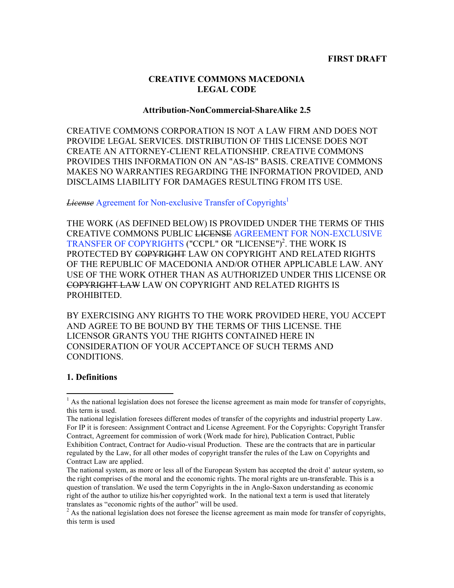### **CREATIVE COMMONS MACEDONIA LEGAL CODE**

#### **Attribution-NonCommercial-ShareAlike 2.5**

CREATIVE COMMONS CORPORATION IS NOT A LAW FIRM AND DOES NOT PROVIDE LEGAL SERVICES. DISTRIBUTION OF THIS LICENSE DOES NOT CREATE AN ATTORNEY-CLIENT RELATIONSHIP. CREATIVE COMMONS PROVIDES THIS INFORMATION ON AN "AS-IS" BASIS. CREATIVE COMMONS MAKES NO WARRANTIES REGARDING THE INFORMATION PROVIDED, AND DISCLAIMS LIABILITY FOR DAMAGES RESULTING FROM ITS USE.

*License* Agreement for Non-exclusive Transfer of Copyrights 1

THE WORK (AS DEFINED BELOW) IS PROVIDED UNDER THE TERMS OF THIS CREATIVE COMMONS PUBLIC LICENSE AGREEMENT FOR NON-EXCLUSIVE TRANSFER OF COPYRIGHTS ("CCPL" OR "LICENSE") 2 . THE WORK IS PROTECTED BY COPYRIGHT LAW ON COPYRIGHT AND RELATED RIGHTS OF THE REPUBLIC OF MACEDONIA AND/OR OTHER APPLICABLE LAW. ANY USE OF THE WORK OTHER THAN AS AUTHORIZED UNDER THIS LICENSE OR COPYRIGHT LAW LAW ON COPYRIGHT AND RELATED RIGHTS IS PROHIBITED.

BY EXERCISING ANY RIGHTS TO THE WORK PROVIDED HERE, YOU ACCEPT AND AGREE TO BE BOUND BY THE TERMS OF THIS LICENSE. THE LICENSOR GRANTS YOU THE RIGHTS CONTAINED HERE IN CONSIDERATION OF YOUR ACCEPTANCE OF SUCH TERMS AND **CONDITIONS** 

### **1. Definitions**

<sup>&</sup>lt;sup>1</sup> As the national legislation does not foresee the license agreement as main mode for transfer of copyrights, this term is used.

The national legislation foresees different modes of transfer of the copyrights and industrial property Law. For IP it is foreseen: Assignment Contract and License Agreement. For the Copyrights: Copyright Transfer Contract, Agreement for commission of work (Work made for hire), Publication Contract, Public Exhibition Contract, Contract for Audio-visual Production. These are the contracts that are in particular regulated by the Law, for all other modes of copyright transfer the rules of the Law on Copyrights and Contract Law are applied.

The national system, as more or less all of the European System has accepted the droit d' auteur system, so the right comprises of the moral and the economic rights. The moral rights are un-transferable. This is a question of translation. We used the term Copyrights in the in Anglo-Saxon understanding as economic right of the author to utilize his/her copyrighted work. In the national text a term is used that literately translates as "economic rights of the author" will be used.<br><sup>2</sup> As the national legislation does not foresee the license agreement as main mode for transfer of copyrights,

this term is used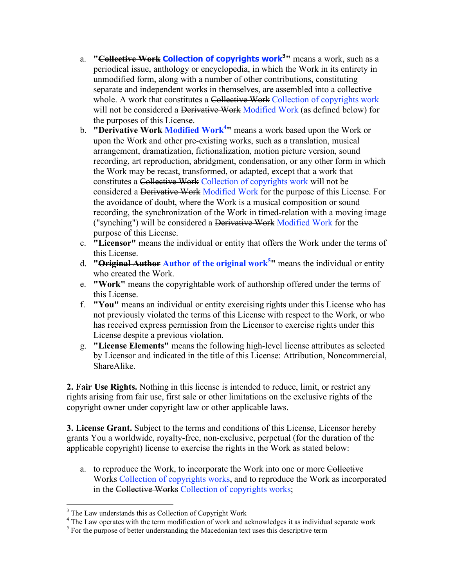- a. **"Collective Work Collection of copyrights work3 "** means a work, such as a periodical issue, anthology or encyclopedia, in which the Work in its entirety in unmodified form, along with a number of other contributions, constituting separate and independent works in themselves, are assembled into a collective whole. A work that constitutes a Collective Work Collection of copyrights work will not be considered a Derivative Work Modified Work (as defined below) for the purposes of this License.
- b. **"Derivative Work Modified Work4 "** means a work based upon the Work or upon the Work and other pre-existing works, such as a translation, musical arrangement, dramatization, fictionalization, motion picture version, sound recording, art reproduction, abridgment, condensation, or any other form in which the Work may be recast, transformed, or adapted, except that a work that constitutes a Collective Work Collection of copyrights work will not be considered a Derivative Work Modified Work for the purpose of this License. For the avoidance of doubt, where the Work is a musical composition or sound recording, the synchronization of the Work in timed-relation with a moving image ("synching") will be considered a Derivative Work Modified Work for the purpose of this License.
- c. **"Licensor"** means the individual or entity that offers the Work under the terms of this License.
- d. **"Original Author Author of the original work5 "** means the individual or entity who created the Work.
- e. **"Work"** means the copyrightable work of authorship offered under the terms of this License.
- f. **"You"** means an individual or entity exercising rights under this License who has not previously violated the terms of this License with respect to the Work, or who has received express permission from the Licensor to exercise rights under this License despite a previous violation.
- g. **"License Elements"** means the following high-level license attributes as selected by Licensor and indicated in the title of this License: Attribution, Noncommercial, ShareAlike.

**2. Fair Use Rights.** Nothing in this license is intended to reduce, limit, or restrict any rights arising from fair use, first sale or other limitations on the exclusive rights of the copyright owner under copyright law or other applicable laws.

**3. License Grant.** Subject to the terms and conditions of this License, Licensor hereby grants You a worldwide, royalty-free, non-exclusive, perpetual (for the duration of the applicable copyright) license to exercise the rights in the Work as stated below:

a. to reproduce the Work, to incorporate the Work into one or more Collective Works Collection of copyrights works, and to reproduce the Work as incorporated in the Collective Works Collection of copyrights works;

<sup>&</sup>lt;sup>3</sup> The Law understands this as Collection of Copyright Work<br><sup>4</sup> The Law operates with the term modification of work and acknowledges it as individual separate work<br><sup>5</sup> For the purpose of better understanding the Macedoni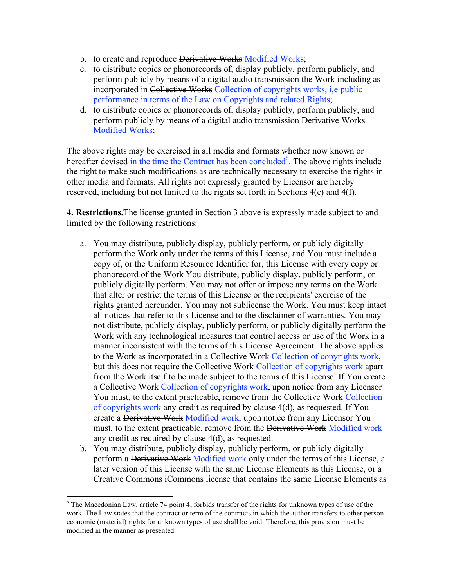- b. to create and reproduce Derivative Works Modified Works;
- c. to distribute copies or phonorecords of, display publicly, perform publicly, and perform publicly by means of a digital audio transmission the Work including as incorporated in Collective Works Collection of copyrights works, i,e public performance in terms of the Law on Copyrights and related Rights;
- d. to distribute copies or phonorecords of, display publicly, perform publicly, and perform publicly by means of a digital audio transmission Derivative Works Modified Works;

The above rights may be exercised in all media and formats whether now known or hereafter devised in the time the Contract has been concluded<sup>6</sup>. The above rights include the right to make such modifications as are technically necessary to exercise the rights in other media and formats. All rights not expressly granted by Licensor are hereby reserved, including but not limited to the rights set forth in Sections 4(e) and 4(f).

**4. Restrictions.**The license granted in Section 3 above is expressly made subject to and limited by the following restrictions:

- a. You may distribute, publicly display, publicly perform, or publicly digitally perform the Work only under the terms of this License, and You must include a copy of, or the Uniform Resource Identifier for, this License with every copy or phonorecord of the Work You distribute, publicly display, publicly perform, or publicly digitally perform. You may not offer or impose any terms on the Work that alter or restrict the terms of this License or the recipients' exercise of the rights granted hereunder. You may not sublicense the Work. You must keep intact all notices that refer to this License and to the disclaimer of warranties. You may not distribute, publicly display, publicly perform, or publicly digitally perform the Work with any technological measures that control access or use of the Work in a manner inconsistent with the terms of this License Agreement. The above applies to the Work as incorporated in a Collective Work Collection of copyrights work, but this does not require the Collective Work Collection of copyrights work apart from the Work itself to be made subject to the terms of this License. If You create a Collective Work Collection of copyrights work, upon notice from any Licensor You must, to the extent practicable, remove from the Collective Work Collection of copyrights work any credit as required by clause 4(d), as requested. If You create a Derivative Work Modified work, upon notice from any Licensor You must, to the extent practicable, remove from the Derivative Work Modified work any credit as required by clause 4(d), as requested.
- b. You may distribute, publicly display, publicly perform, or publicly digitally perform a Derivative Work Modified work only under the terms of this License, a later version of this License with the same License Elements as this License, or a Creative Commons iCommons license that contains the same License Elements as

 $6$  The Macedonian Law, article 74 point 4, forbids transfer of the rights for unknown types of use of the work. The Law states that the contract or term of the contracts in which the author transfers to other person economic (material) rights for unknown types of use shall be void. Therefore, this provision must be modified in the manner as presented.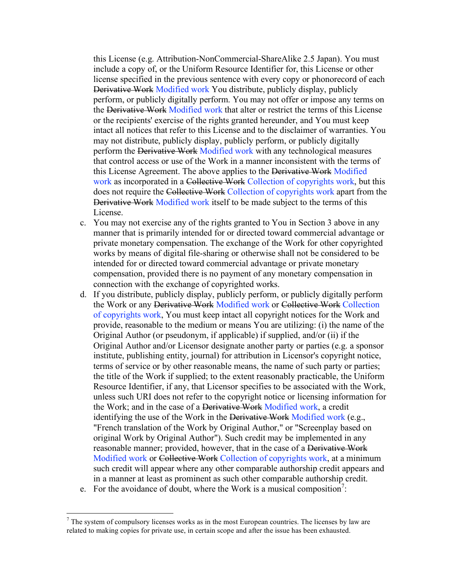this License (e.g. Attribution-NonCommercial-ShareAlike 2.5 Japan). You must include a copy of, or the Uniform Resource Identifier for, this License or other license specified in the previous sentence with every copy or phonorecord of each Derivative Work Modified work You distribute, publicly display, publicly perform, or publicly digitally perform. You may not offer or impose any terms on the Derivative Work Modified work that alter or restrict the terms of this License or the recipients' exercise of the rights granted hereunder, and You must keep intact all notices that refer to this License and to the disclaimer of warranties. You may not distribute, publicly display, publicly perform, or publicly digitally perform the Derivative Work Modified work with any technological measures that control access or use of the Work in a manner inconsistent with the terms of this License Agreement. The above applies to the Derivative Work Modified work as incorporated in a Collective Work Collection of copyrights work, but this does not require the Collective Work Collection of copyrights work apart from the Derivative Work Modified work itself to be made subject to the terms of this License.

- c. You may not exercise any of the rights granted to You in Section 3 above in any manner that is primarily intended for or directed toward commercial advantage or private monetary compensation. The exchange of the Work for other copyrighted works by means of digital file-sharing or otherwise shall not be considered to be intended for or directed toward commercial advantage or private monetary compensation, provided there is no payment of any monetary compensation in connection with the exchange of copyrighted works.
- d. If you distribute, publicly display, publicly perform, or publicly digitally perform the Work or any Derivative Work Modified work or Collective Work Collection of copyrights work, You must keep intact all copyright notices for the Work and provide, reasonable to the medium or means You are utilizing: (i) the name of the Original Author (or pseudonym, if applicable) if supplied, and/or (ii) if the Original Author and/or Licensor designate another party or parties (e.g. a sponsor institute, publishing entity, journal) for attribution in Licensor's copyright notice, terms of service or by other reasonable means, the name of such party or parties; the title of the Work if supplied; to the extent reasonably practicable, the Uniform Resource Identifier, if any, that Licensor specifies to be associated with the Work, unless such URI does not refer to the copyright notice or licensing information for the Work; and in the case of a <del>Derivative Work</del> Modified work, a credit identifying the use of the Work in the <del>Derivative Work</del> Modified work (e.g., "French translation of the Work by Original Author," or "Screenplay based on original Work by Original Author"). Such credit may be implemented in any reasonable manner; provided, however, that in the case of a Derivative Work Modified work or Collective Work Collection of copyrights work, at a minimum such credit will appear where any other comparable authorship credit appears and in a manner at least as prominent as such other comparable authorship credit.
- e. For the avoidance of doubt, where the Work is a musical composition<sup>7</sup>:

 $<sup>7</sup>$  The system of compulsory licenses works as in the most European countries. The licenses by law are</sup> related to making copies for private use, in certain scope and after the issue has been exhausted.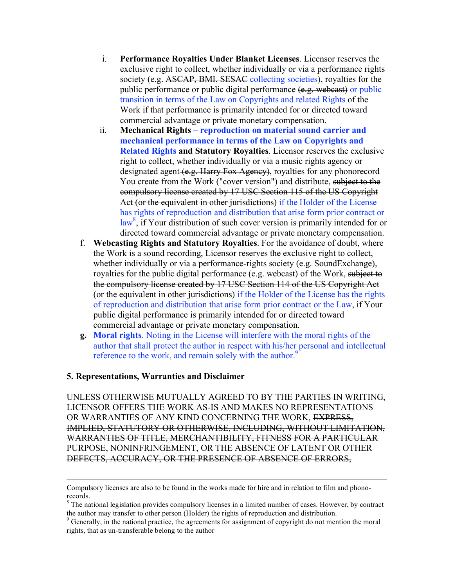- i. **Performance Royalties Under Blanket Licenses**. Licensor reserves the exclusive right to collect, whether individually or via a performance rights society (e.g. ASCAP, BMI, SESAC collecting societies), royalties for the public performance or public digital performance (e.g. webcast) or public transition in terms of the Law on Copyrights and related Rights of the Work if that performance is primarily intended for or directed toward commercial advantage or private monetary compensation.
- ii. **Mechanical Rights – reproduction on material sound carrier and mechanical performance in terms of the Law on Copyrights and Related Rights and Statutory Royalties**. Licensor reserves the exclusive right to collect, whether individually or via a music rights agency or designated agent (e.g. Harry Fox Agency), royalties for any phonorecord You create from the Work ("cover version") and distribute, subject to the compulsory license created by 17 USC Section 115 of the US Copyright Act (or the equivalent in other jurisdictions) if the Holder of the License has rights of reproduction and distribution that arise form prior contract or law<sup>8</sup>, if Your distribution of such cover version is primarily intended for or directed toward commercial advantage or private monetary compensation.
- f. **Webcasting Rights and Statutory Royalties**. For the avoidance of doubt, where the Work is a sound recording, Licensor reserves the exclusive right to collect, whether individually or via a performance-rights society (e.g. SoundExchange), royalties for the public digital performance (e.g. webcast) of the Work, subject to the compulsory license created by 17 USC Section 114 of the US Copyright Act (or the equivalent in other jurisdictions) if the Holder of the License has the rights of reproduction and distribution that arise form prior contract or the Law, if Your public digital performance is primarily intended for or directed toward commercial advantage or private monetary compensation.
- **g. Moral rights**. Noting in the License will interfere with the moral rights of the author that shall protect the author in respect with his/her personal and intellectual reference to the work, and remain solely with the author.<sup>9</sup>

### **5. Representations, Warranties and Disclaimer**

UNLESS OTHERWISE MUTUALLY AGREED TO BY THE PARTIES IN WRITING, LICENSOR OFFERS THE WORK AS-IS AND MAKES NO REPRESENTATIONS OR WARRANTIES OF ANY KIND CONCERNING THE WORK, EXPRESS, IMPLIED, STATUTORY OR OTHERWISE, INCLUDING, WITHOUT LIMITATION, WARRANTIES OF TITLE, MERCHANTIBILITY, FITNESS FOR A PARTICULAR PURPOSE, NONINFRINGEMENT, OR THE ABSENCE OF LATENT OR OTHER DEFECTS, ACCURACY, OR THE PRESENCE OF ABSENCE OF ERRORS,

Compulsory licenses are also to be found in the works made for hire and in relation to film and phono-

<sup>&</sup>lt;sup>8</sup> The national legislation provides compulsory licenses in a limited number of cases. However, by contract the author may transfer to other person (Holder) the rights of reproduction and distribution.

 $\degree$  Generally, in the national practice, the agreements for assignment of copyright do not mention the moral rights, that as un-transferable belong to the author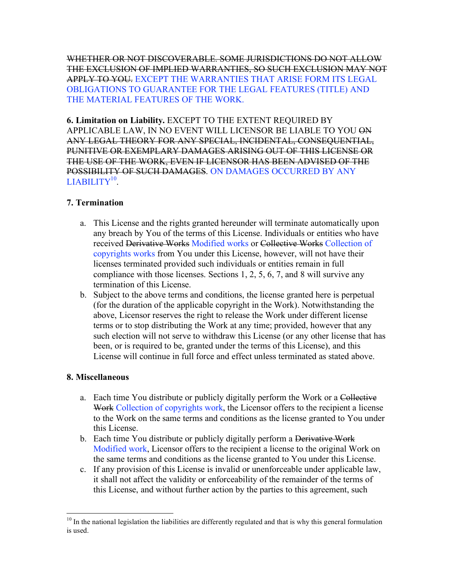WHETHER OR NOT DISCOVERABLE. SOME JURISDICTIONS DO NOT ALLOW THE EXCLUSION OF IMPLIED WARRANTIES, SO SUCH EXCLUSION MAY NOT APPLY TO YOU. EXCEPT THE WARRANTIES THAT ARISE FORM ITS LEGAL OBLIGATIONS TO GUARANTEE FOR THE LEGAL FEATURES (TITLE) AND THE MATERIAL FEATURES OF THE WORK.

**6. Limitation on Liability.** EXCEPT TO THE EXTENT REQUIRED BY APPLICABLE LAW, IN NO EVENT WILL LICENSOR BE LIABLE TO YOU ON ANY LEGAL THEORY FOR ANY SPECIAL, INCIDENTAL, CONSEQUENTIAL, PUNITIVE OR EXEMPLARY DAMAGES ARISING OUT OF THIS LICENSE OR THE USE OF THE WORK, EVEN IF LICENSOR HAS BEEN ADVISED OF THE POSSIBILITY OF SUCH DAMAGES. ON DAMAGES OCCURRED BY ANY  $LIABILITY<sup>10</sup>$ .

# **7. Termination**

- a. This License and the rights granted hereunder will terminate automatically upon any breach by You of the terms of this License. Individuals or entities who have received Derivative Works Modified works or Collective Works Collection of copyrights works from You under this License, however, will not have their licenses terminated provided such individuals or entities remain in full compliance with those licenses. Sections 1, 2, 5, 6, 7, and 8 will survive any termination of this License.
- b. Subject to the above terms and conditions, the license granted here is perpetual (for the duration of the applicable copyright in the Work). Notwithstanding the above, Licensor reserves the right to release the Work under different license terms or to stop distributing the Work at any time; provided, however that any such election will not serve to withdraw this License (or any other license that has been, or is required to be, granted under the terms of this License), and this License will continue in full force and effect unless terminated as stated above.

## **8. Miscellaneous**

- a. Each time You distribute or publicly digitally perform the Work or a Collective Work Collection of copyrights work, the Licensor offers to the recipient a license to the Work on the same terms and conditions as the license granted to You under this License.
- b. Each time You distribute or publicly digitally perform a <del>Derivative Work</del> Modified work, Licensor offers to the recipient a license to the original Work on the same terms and conditions as the license granted to You under this License.
- c. If any provision of this License is invalid or unenforceable under applicable law, it shall not affect the validity or enforceability of the remainder of the terms of this License, and without further action by the parties to this agreement, such

 $10$  In the national legislation the liabilities are differently regulated and that is why this general formulation is used.